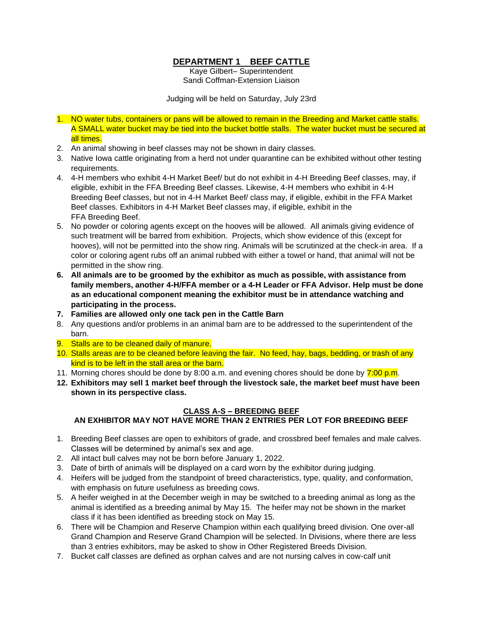# **DEPARTMENT 1 BEEF CATTLE**

Kaye Gilbert– Superintendent Sandi Coffman-Extension Liaison

Judging will be held on Saturday, July 23rd

- 1. NO water tubs, containers or pans will be allowed to remain in the Breeding and Market cattle stalls. A SMALL water bucket may be tied into the bucket bottle stalls. The water bucket must be secured at all times.
- 2. An animal showing in beef classes may not be shown in dairy classes.
- 3. Native Iowa cattle originating from a herd not under quarantine can be exhibited without other testing requirements.
- 4. 4-H members who exhibit 4-H Market Beef/ but do not exhibit in 4-H Breeding Beef classes, may, if eligible, exhibit in the FFA Breeding Beef classes. Likewise, 4-H members who exhibit in 4-H Breeding Beef classes, but not in 4-H Market Beef/ class may, if eligible, exhibit in the FFA Market Beef classes. Exhibitors in 4-H Market Beef classes may, if eligible, exhibit in the FFA Breeding Beef.
- 5. No powder or coloring agents except on the hooves will be allowed. All animals giving evidence of such treatment will be barred from exhibition. Projects, which show evidence of this (except for hooves), will not be permitted into the show ring. Animals will be scrutinized at the check-in area. If a color or coloring agent rubs off an animal rubbed with either a towel or hand, that animal will not be permitted in the show ring.
- **6. All animals are to be groomed by the exhibitor as much as possible, with assistance from family members, another 4-H/FFA member or a 4-H Leader or FFA Advisor. Help must be done as an educational component meaning the exhibitor must be in attendance watching and participating in the process.**
- **7. Families are allowed only one tack pen in the Cattle Barn**
- 8. Any questions and/or problems in an animal barn are to be addressed to the superintendent of the barn.
- 9. Stalls are to be cleaned daily of manure.
- 10. Stalls areas are to be cleaned before leaving the fair. No feed, hay, bags, bedding, or trash of any kind is to be left in the stall area or the barn.
- 11. Morning chores should be done by 8:00 a.m. and evening chores should be done by 7:00 p.m.
- **12. Exhibitors may sell 1 market beef through the livestock sale, the market beef must have been shown in its perspective class.**

#### **CLASS A-S – BREEDING BEEF AN EXHIBITOR MAY NOT HAVE MORE THAN 2 ENTRIES PER LOT FOR BREEDING BEEF**

- 1. Breeding Beef classes are open to exhibitors of grade, and crossbred beef females and male calves. Classes will be determined by animal's sex and age.
- 2. All intact bull calves may not be born before January 1, 2022.
- 3. Date of birth of animals will be displayed on a card worn by the exhibitor during judging.
- 4. Heifers will be judged from the standpoint of breed characteristics, type, quality, and conformation, with emphasis on future usefulness as breeding cows.
- 5. A heifer weighed in at the December weigh in may be switched to a breeding animal as long as the animal is identified as a breeding animal by May 15. The heifer may not be shown in the market class if it has been identified as breeding stock on May 15.
- 6. There will be Champion and Reserve Champion within each qualifying breed division. One over-all Grand Champion and Reserve Grand Champion will be selected. In Divisions, where there are less than 3 entries exhibitors, may be asked to show in Other Registered Breeds Division.
- 7. Bucket calf classes are defined as orphan calves and are not nursing calves in cow-calf unit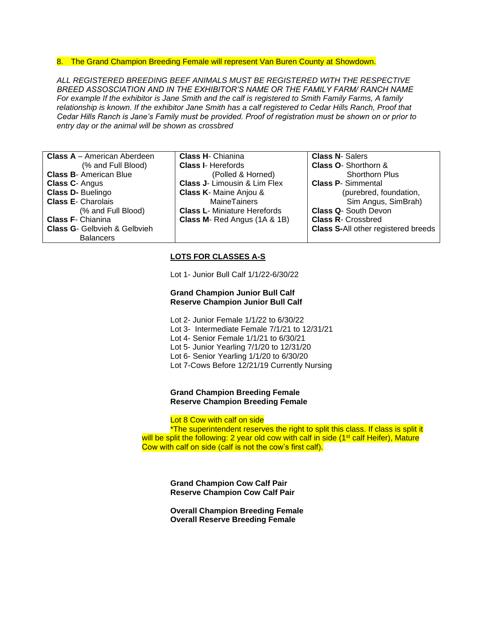### 8. The Grand Champion Breeding Female will represent Van Buren County at Showdown.

*ALL REGISTERED BREEDING BEEF ANIMALS MUST BE REGISTERED WITH THE RESPECTIVE BREED ASSOSCIATION AND IN THE EXHIBITOR'S NAME OR THE FAMILY FARM/ RANCH NAME For example If the exhibitor is Jane Smith and the calf is registered to Smith Family Farms, A family relationship is known. If the exhibitor Jane Smith has a calf registered to Cedar Hills Ranch, Proof that Cedar Hills Ranch is Jane's Family must be provided. Proof of registration must be shown on or prior to entry day or the animal will be shown as crossbred*

| <b>Class A</b> – American Aberdeen      | <b>Class H-</b> Chianina                | <b>Class N- Salers</b>                     |
|-----------------------------------------|-----------------------------------------|--------------------------------------------|
| (% and Full Blood)                      | <b>Class I- Herefords</b>               | <b>Class O- Shorthorn &amp;</b>            |
| <b>Class B-American Blue</b>            | (Polled & Horned)                       | <b>Shorthorn Plus</b>                      |
| <b>Class C-Angus</b>                    | <b>Class J- Limousin &amp; Lim Flex</b> | <b>Class P- Simmental</b>                  |
| Class D- Buelingo                       | <b>Class K-</b> Maine Anjou &           | (purebred, foundation,                     |
| <b>Class E- Charolais</b>               | <b>MaineTainers</b>                     | Sim Angus, SimBrah)                        |
| (% and Full Blood)                      | <b>Class L-</b> Miniature Herefords     | <b>Class Q- South Devon</b>                |
| <b>Class F- Chianina</b>                | <b>Class M- Red Angus (1A &amp; 1B)</b> | <b>Class R- Crossbred</b>                  |
| <b>Class G- Gelbyieh &amp; Gelbyieh</b> |                                         | <b>Class S-All other registered breeds</b> |
| <b>Balancers</b>                        |                                         |                                            |

### **LOTS FOR CLASSES A-S**

Lot 1- Junior Bull Calf 1/1/22-6/30/22

### **Grand Champion Junior Bull Calf Reserve Champion Junior Bull Calf**

Lot 2- Junior Female 1/1/22 to 6/30/22 Lot 3- Intermediate Female 7/1/21 to 12/31/21 Lot 4- Senior Female 1/1/21 to 6/30/21 Lot 5- Junior Yearling 7/1/20 to 12/31/20 Lot 6- Senior Yearling 1/1/20 to 6/30/20 Lot 7-Cows Before 12/21/19 Currently Nursing

#### **Grand Champion Breeding Female Reserve Champion Breeding Female**

Lot 8 Cow with calf on side

\*The superintendent reserves the right to split this class. If class is split it will be split the following: 2 year old cow with calf in side (1<sup>st</sup> calf Heifer), Mature Cow with calf on side (calf is not the cow's first calf).

**Grand Champion Cow Calf Pair Reserve Champion Cow Calf Pair**

**Overall Champion Breeding Female Overall Reserve Breeding Female**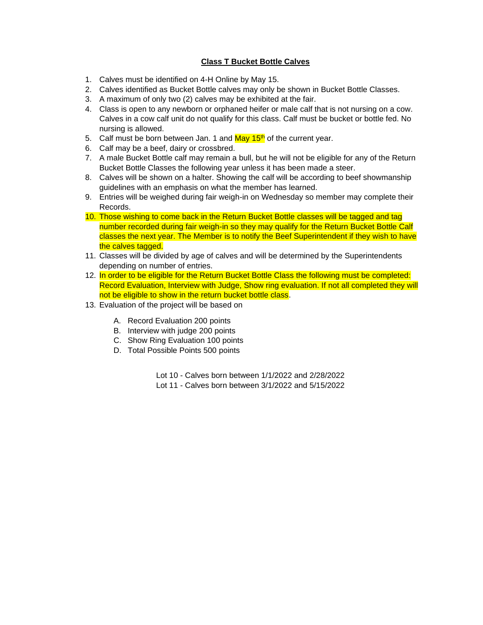### **Class T Bucket Bottle Calves**

- 1. Calves must be identified on 4-H Online by May 15.
- 2. Calves identified as Bucket Bottle calves may only be shown in Bucket Bottle Classes.
- 3. A maximum of only two (2) calves may be exhibited at the fair.
- 4. Class is open to any newborn or orphaned heifer or male calf that is not nursing on a cow. Calves in a cow calf unit do not qualify for this class. Calf must be bucket or bottle fed. No nursing is allowed.
- 5. Calf must be born between Jan. 1 and  $\frac{\text{May } 15^{\text{th}}}{{}^{6}}$  of the current year.
- 6. Calf may be a beef, dairy or crossbred.
- 7. A male Bucket Bottle calf may remain a bull, but he will not be eligible for any of the Return Bucket Bottle Classes the following year unless it has been made a steer.
- 8. Calves will be shown on a halter. Showing the calf will be according to beef showmanship guidelines with an emphasis on what the member has learned.
- 9. Entries will be weighed during fair weigh-in on Wednesday so member may complete their Records.
- 10. Those wishing to come back in the Return Bucket Bottle classes will be tagged and tag number recorded during fair weigh-in so they may qualify for the Return Bucket Bottle Calf classes the next year. The Member is to notify the Beef Superintendent if they wish to have the calves tagged.
- 11. Classes will be divided by age of calves and will be determined by the Superintendents depending on number of entries.
- 12. In order to be eligible for the Return Bucket Bottle Class the following must be completed: Record Evaluation, Interview with Judge, Show ring evaluation. If not all completed they will not be eligible to show in the return bucket bottle class.
- 13. Evaluation of the project will be based on
	- A. Record Evaluation 200 points
	- B. Interview with judge 200 points
	- C. Show Ring Evaluation 100 points
	- D. Total Possible Points 500 points

Lot 10 - Calves born between 1/1/2022 and 2/28/2022

Lot 11 - Calves born between 3/1/2022 and 5/15/2022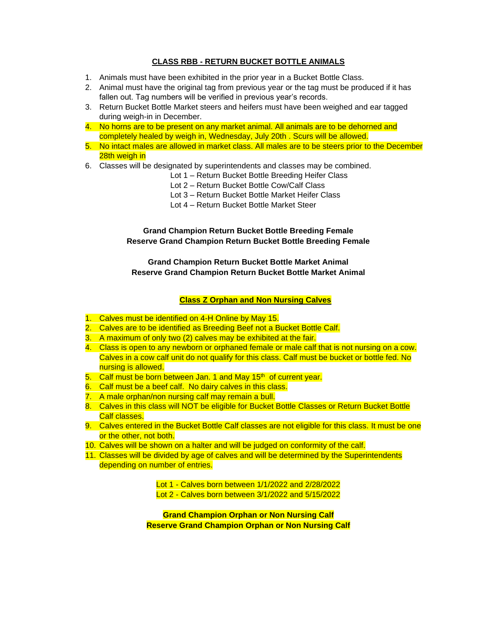### **CLASS RBB - RETURN BUCKET BOTTLE ANIMALS**

- 1. Animals must have been exhibited in the prior year in a Bucket Bottle Class.
- 2. Animal must have the original tag from previous year or the tag must be produced if it has fallen out. Tag numbers will be verified in previous year's records.
- 3. Return Bucket Bottle Market steers and heifers must have been weighed and ear tagged during weigh-in in December.
- 4. No horns are to be present on any market animal. All animals are to be dehorned and completely healed by weigh in, Wednesday, July 20th . Scurs will be allowed.
- 5. No intact males are allowed in market class. All males are to be steers prior to the December 28th weigh in
- 6. Classes will be designated by superintendents and classes may be combined.
	- Lot 1 Return Bucket Bottle Breeding Heifer Class
	- Lot 2 Return Bucket Bottle Cow/Calf Class
	- Lot 3 Return Bucket Bottle Market Heifer Class
	- Lot 4 Return Bucket Bottle Market Steer

**Grand Champion Return Bucket Bottle Breeding Female Reserve Grand Champion Return Bucket Bottle Breeding Female**

**Grand Champion Return Bucket Bottle Market Animal Reserve Grand Champion Return Bucket Bottle Market Animal**

### **Class Z Orphan and Non Nursing Calves**

- 1. Calves must be identified on 4-H Online by May 15.
- 2. Calves are to be identified as Breeding Beef not a Bucket Bottle Calf.
- 3. A maximum of only two (2) calves may be exhibited at the fair.
- 4. Class is open to any newborn or orphaned female or male calf that is not nursing on a cow. Calves in a cow calf unit do not qualify for this class. Calf must be bucket or bottle fed. No nursing is allowed.
- $5.$  Calf must be born between Jan. 1 and May  $15<sup>th</sup>$  of current year.
- 6. Calf must be a beef calf. No dairy calves in this class.
- 7. A male orphan/non nursing calf may remain a bull.
- 8. Calves in this class will NOT be eligible for Bucket Bottle Classes or Return Bucket Bottle Calf classes.
- 9. Calves entered in the Bucket Bottle Calf classes are not eligible for this class. It must be one or the other, not both.
- 10. Calves will be shown on a halter and will be judged on conformity of the calf.
- 11. Classes will be divided by age of calves and will be determined by the Superintendents depending on number of entries.

Lot 1 - Calves born between 1/1/2022 and 2/28/2022

Lot 2 - Calves born between 3/1/2022 and 5/15/2022

**Grand Champion Orphan or Non Nursing Calf Reserve Grand Champion Orphan or Non Nursing Calf**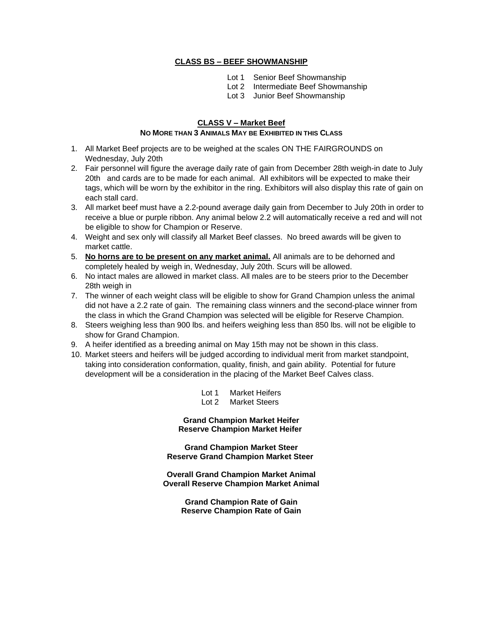### **CLASS BS – BEEF SHOWMANSHIP**

- Lot 1 Senior Beef Showmanship
- Lot 2 Intermediate Beef Showmanship
- Lot 3 Junior Beef Showmanship

# **CLASS V – Market Beef**

# **NO MORE THAN 3 ANIMALS MAY BE EXHIBITED IN THIS CLASS**

- 1. All Market Beef projects are to be weighed at the scales ON THE FAIRGROUNDS on Wednesday, July 20th
- 2. Fair personnel will figure the average daily rate of gain from December 28th weigh-in date to July 20th and cards are to be made for each animal. All exhibitors will be expected to make their tags, which will be worn by the exhibitor in the ring. Exhibitors will also display this rate of gain on each stall card.
- 3. All market beef must have a 2.2-pound average daily gain from December to July 20th in order to receive a blue or purple ribbon. Any animal below 2.2 will automatically receive a red and will not be eligible to show for Champion or Reserve.
- 4. Weight and sex only will classify all Market Beef classes. No breed awards will be given to market cattle.
- 5. **No horns are to be present on any market animal.** All animals are to be dehorned and completely healed by weigh in, Wednesday, July 20th. Scurs will be allowed.
- 6. No intact males are allowed in market class. All males are to be steers prior to the December 28th weigh in
- 7. The winner of each weight class will be eligible to show for Grand Champion unless the animal did not have a 2.2 rate of gain. The remaining class winners and the second-place winner from the class in which the Grand Champion was selected will be eligible for Reserve Champion.
- 8. Steers weighing less than 900 lbs. and heifers weighing less than 850 lbs. will not be eligible to show for Grand Champion.
- 9. A heifer identified as a breeding animal on May 15th may not be shown in this class.
- 10. Market steers and heifers will be judged according to individual merit from market standpoint, taking into consideration conformation, quality, finish, and gain ability. Potential for future development will be a consideration in the placing of the Market Beef Calves class.

| Lot 1 | <b>Market Heifers</b> |
|-------|-----------------------|
| Lot 2 | <b>Market Steers</b>  |

**Grand Champion Market Heifer Reserve Champion Market Heifer**

**Grand Champion Market Steer Reserve Grand Champion Market Steer**

**Overall Grand Champion Market Animal Overall Reserve Champion Market Animal**

> **Grand Champion Rate of Gain Reserve Champion Rate of Gain**